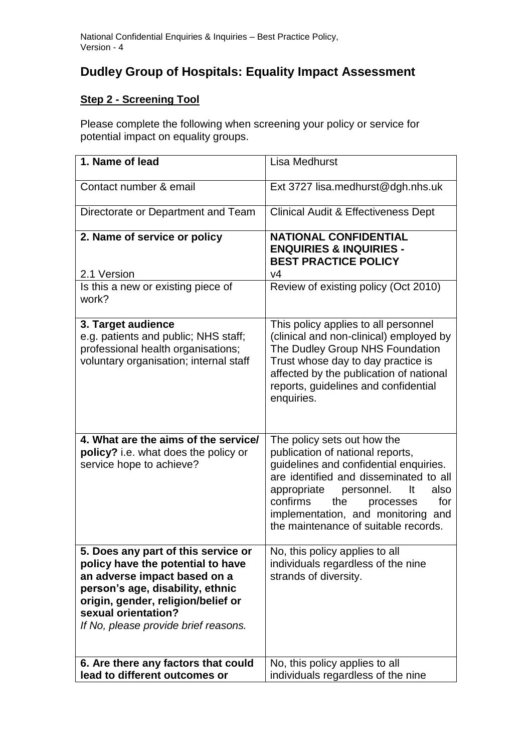## **Dudley Group of Hospitals: Equality Impact Assessment**

## **Step 2 - Screening Tool**

Please complete the following when screening your policy or service for potential impact on equality groups.

| 1. Name of lead                                                                                                                                                                                                                                   | Lisa Medhurst                                                                                                                                                                                                                                                                                                       |
|---------------------------------------------------------------------------------------------------------------------------------------------------------------------------------------------------------------------------------------------------|---------------------------------------------------------------------------------------------------------------------------------------------------------------------------------------------------------------------------------------------------------------------------------------------------------------------|
| Contact number & email                                                                                                                                                                                                                            | Ext 3727 lisa.medhurst@dgh.nhs.uk                                                                                                                                                                                                                                                                                   |
| Directorate or Department and Team                                                                                                                                                                                                                | <b>Clinical Audit &amp; Effectiveness Dept</b>                                                                                                                                                                                                                                                                      |
| 2. Name of service or policy                                                                                                                                                                                                                      | <b>NATIONAL CONFIDENTIAL</b><br><b>ENQUIRIES &amp; INQUIRIES -</b><br><b>BEST PRACTICE POLICY</b>                                                                                                                                                                                                                   |
| 2.1 Version                                                                                                                                                                                                                                       | V <sub>4</sub>                                                                                                                                                                                                                                                                                                      |
| Is this a new or existing piece of<br>work?                                                                                                                                                                                                       | Review of existing policy (Oct 2010)                                                                                                                                                                                                                                                                                |
| 3. Target audience<br>e.g. patients and public; NHS staff;<br>professional health organisations;<br>voluntary organisation; internal staff                                                                                                        | This policy applies to all personnel<br>(clinical and non-clinical) employed by<br>The Dudley Group NHS Foundation<br>Trust whose day to day practice is<br>affected by the publication of national<br>reports, guidelines and confidential<br>enquiries.                                                           |
| 4. What are the aims of the service/<br>policy? i.e. what does the policy or<br>service hope to achieve?                                                                                                                                          | The policy sets out how the<br>publication of national reports,<br>guidelines and confidential enquiries.<br>are identified and disseminated to all<br>appropriate<br>It<br>also<br>personnel.<br>confirms<br>for<br>the<br>processes<br>implementation, and monitoring and<br>the maintenance of suitable records. |
| 5. Does any part of this service or<br>policy have the potential to have<br>an adverse impact based on a<br>person's age, disability, ethnic<br>origin, gender, religion/belief or<br>sexual orientation?<br>If No, please provide brief reasons. | No, this policy applies to all<br>individuals regardless of the nine<br>strands of diversity.                                                                                                                                                                                                                       |
| 6. Are there any factors that could<br>lead to different outcomes or                                                                                                                                                                              | No, this policy applies to all<br>individuals regardless of the nine                                                                                                                                                                                                                                                |